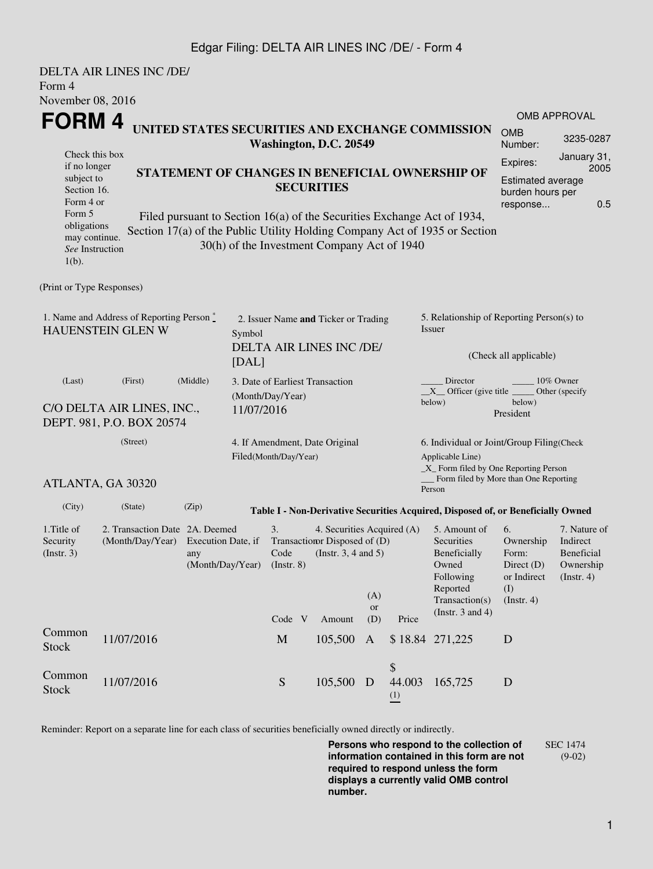## Edgar Filing: DELTA AIR LINES INC /DE/ - Form 4

DELTA AIR LINES INC /DE/ Form 4 November 08, 2016 **FORM 4** Check this box if no longer subject to Section 16. Form 4 or Form 5 obligations may continue. *See* Instruction 1(b). **UNITED STATES SECURITIES AND EXCHANGE COMMISSION Washington, D.C. 20549 STATEMENT OF CHANGES IN BENEFICIAL OWNERSHIP OF SECURITIES** Filed pursuant to Section 16(a) of the Securities Exchange Act of 1934, Section 17(a) of the Public Utility Holding Company Act of 1935 or Section 30(h) of the Investment Company Act of 1940 OMB APPROVAL OMB Number: 3235-0287 Expires: January 31, 2005 Estimated average burden hours per response... 0.5 (Print or Type Responses) 1. Name and Address of Reporting Person  $\degree$ HAUENSTEIN GLEN W 2. Issuer Name **and** Ticker or Trading Symbol DELTA AIR LINES INC /DE/ [DAL] 5. Relationship of Reporting Person(s) to Issuer (Check all applicable) Director \_\_\_\_\_\_\_\_ 10% Owner  $X$ <sup>Officer</sup> (give title below) Other (specify below) President (Last) (First) (Middle) C/O DELTA AIR LINES, INC., DEPT. 981, P.O. BOX 20574 3. Date of Earliest Transaction (Month/Day/Year) 11/07/2016 (Street) ATLANTA, GA 30320 4. If Amendment, Date Original Filed(Month/Day/Year) 6. Individual or Joint/Group Filing(Check Applicable Line) \_X\_ Form filed by One Reporting Person Form filed by More than One Reporting Person (City) (State) (Zip) **Table I - Non-Derivative Securities Acquired, Disposed of, or Beneficially Owned** 1.Title of Security (Instr. 3) 2. Transaction Date 2A. Deemed (Month/Day/Year) Execution Date, if any (Month/Day/Year) 3. Transaction Disposed of (D) Code (Instr. 8) 4. Securities Acquired (A) (Instr. 3, 4 and 5) 5. Amount of **Securities** Beneficially Owned Following Reported Transaction(s) (Instr. 3 and 4) 6. Ownership Form: Direct (D) or Indirect (I) (Instr. 4) 7. Nature of Indirect Beneficial Ownership (Instr. 4) Code V Amount (A) or (D) Price Common Stock 11/07/2016 M 105,500 A \$ 18.84 271,225 D Common Stock 11/07/2016 Stock 105,500 D  $\mathcal{S}$ 44.003 (1) 165,725 D

Reminder: Report on a separate line for each class of securities beneficially owned directly or indirectly.

**Persons who respond to the collection of information contained in this form are not required to respond unless the form displays a currently valid OMB control number.** SEC 1474 (9-02)